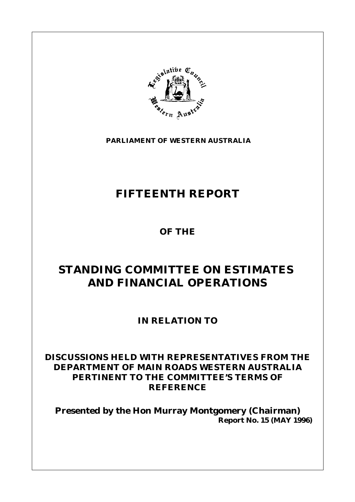

**PARLIAMENT OF WESTERN AUSTRALIA**

# **FIFTEENTH REPORT**

**OF THE**

# **STANDING COMMITTEE ON ESTIMATES AND FINANCIAL OPERATIONS**

**IN RELATION TO**

# **DISCUSSIONS HELD WITH REPRESENTATIVES FROM THE DEPARTMENT OF MAIN ROADS WESTERN AUSTRALIA PERTINENT TO THE COMMITTEE'S TERMS OF REFERENCE**

**Presented by the Hon Murray Montgomery (Chairman) Report No. 15 (MAY 1996)**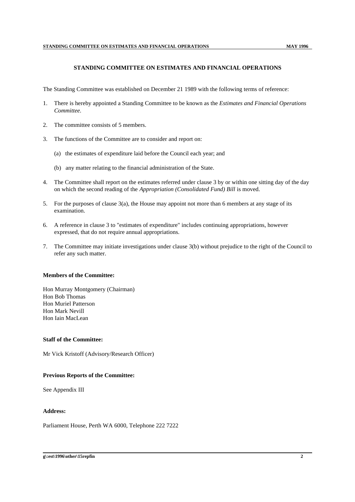#### **STANDING COMMITTEE ON ESTIMATES AND FINANCIAL OPERATIONS**

The Standing Committee was established on December 21 1989 with the following terms of reference:

- 1. There is hereby appointed a Standing Committee to be known as the *Estimates and Financial Operations Committee.*
- 2. The committee consists of 5 members.
- 3. The functions of the Committee are to consider and report on:
	- (a) the estimates of expenditure laid before the Council each year; and
	- (b) any matter relating to the financial administration of the State.
- 4. The Committee shall report on the estimates referred under clause 3 by or within one sitting day of the day on which the second reading of the *Appropriation (Consolidated Fund) Bill* is moved.
- 5. For the purposes of clause 3(a), the House may appoint not more than 6 members at any stage of its examination.
- 6. A reference in clause 3 to "estimates of expenditure" includes continuing appropriations, however expressed, that do not require annual appropriations.
- 7. The Committee may initiate investigations under clause 3(b) without prejudice to the right of the Council to refer any such matter.

#### **Members of the Committee:**

Hon Murray Montgomery (Chairman) Hon Bob Thomas Hon Muriel Patterson Hon Mark Nevill Hon Iain MacLean

#### **Staff of the Committee:**

Mr Vick Kristoff (Advisory/Research Officer)

#### **Previous Reports of the Committee:**

See Appendix III

#### **Address:**

Parliament House, Perth WA 6000, Telephone 222 7222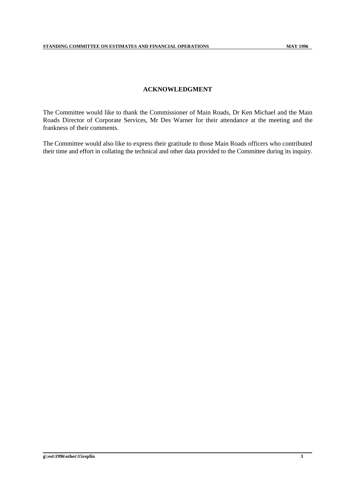## **ACKNOWLEDGMENT**

The Committee would like to thank the Commissioner of Main Roads, Dr Ken Michael and the Main Roads Director of Corporate Services, Mr Des Warner for their attendance at the meeting and the frankness of their comments.

The Committee would also like to express their gratitude to those Main Roads officers who contributed their time and effort in collating the technical and other data provided to the Committee during its inquiry.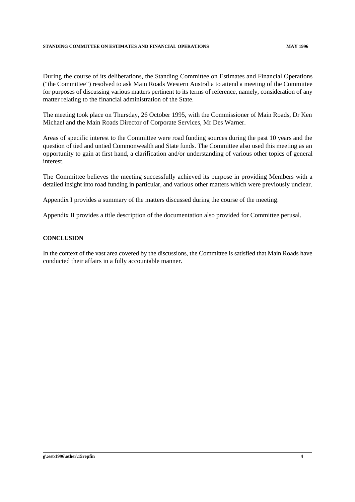During the course of its deliberations, the Standing Committee on Estimates and Financial Operations ("the Committee") resolved to ask Main Roads Western Australia to attend a meeting of the Committee for purposes of discussing various matters pertinent to its terms of reference, namely, consideration of any matter relating to the financial administration of the State.

The meeting took place on Thursday, 26 October 1995, with the Commissioner of Main Roads, Dr Ken Michael and the Main Roads Director of Corporate Services, Mr Des Warner.

Areas of specific interest to the Committee were road funding sources during the past 10 years and the question of tied and untied Commonwealth and State funds. The Committee also used this meeting as an opportunity to gain at first hand, a clarification and/or understanding of various other topics of general interest.

The Committee believes the meeting successfully achieved its purpose in providing Members with a detailed insight into road funding in particular, and various other matters which were previously unclear.

Appendix I provides a summary of the matters discussed during the course of the meeting.

Appendix II provides a title description of the documentation also provided for Committee perusal.

#### **CONCLUSION**

In the context of the vast area covered by the discussions, the Committee is satisfied that Main Roads have conducted their affairs in a fully accountable manner.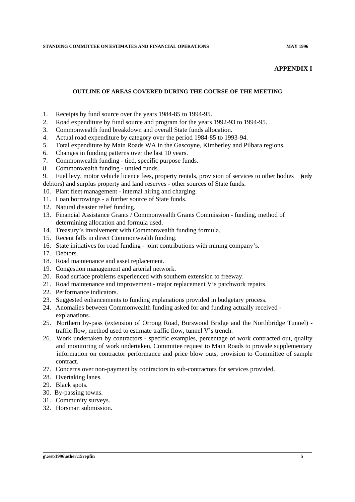# **APPENDIX I**

### **OUTLINE OF AREAS COVERED DURING THE COURSE OF THE MEETING**

- 1. Receipts by fund source over the years 1984-85 to 1994-95.
- 2. Road expenditure by fund source and program for the years 1992-93 to 1994-95.
- 3. Commonwealth fund breakdown and overall State funds allocation.
- 4. Actual road expenditure by category over the period 1984-85 to 1993-94.
- 5. Total expenditure by Main Roads WA in the Gascoyne, Kimberley and Pilbara regions.
- 6. Changes in funding patterns over the last 10 years.
- 7. Commonwealth funding tied, specific purpose funds.
- 8. Commonwealth funding untied funds.
- 9. Fuel levy, motor vehicle licence fees, property rentals, provision of services to other bodies (sundry debtors) and surplus property and land reserves - other sources of State funds.
- 10. Plant fleet management internal hiring and charging.
- 11. Loan borrowings a further source of State funds.
- 12. Natural disaster relief funding.
- 13. Financial Assistance Grants / Commonwealth Grants Commission funding, method of determining allocation and formula used.
- 14. Treasury's involvement with Commonwealth funding formula.
- 15. Recent falls in direct Commonwealth funding.
- 16. State initiatives for road funding joint contributions with mining company's.
- 17. Debtors.
- 18. Road maintenance and asset replacement.
- 19. Congestion management and arterial network.
- 20. Road surface problems experienced with southern extension to freeway.
- 21. Road maintenance and improvement major replacement V's patchwork repairs.
- 22. Performance indicators.
- 23. Suggested enhancements to funding explanations provided in budgetary process.
- 24. Anomalies between Commonwealth funding asked for and funding actually received explanations.
- 25. Northern by-pass (extension of Orrong Road, Burswood Bridge and the Northbridge Tunnel) traffic flow, method used to estimate traffic flow, tunnel V's trench.
- 26. Work undertaken by contractors specific examples, percentage of work contracted out, quality and monitoring of work undertaken, Committee request to Main Roads to provide supplementary information on contractor performance and price blow outs, provision to Committee of sample contract.
- 27. Concerns over non-payment by contractors to sub-contractors for services provided.
- 28. Overtaking lanes.
- 29. Black spots.
- 30. By-passing towns.
- 31. Community surveys.
- 32. Horsman submission.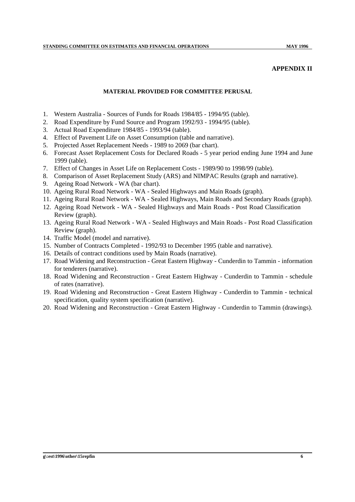#### **APPENDIX II**

### **MATERIAL PROVIDED FOR COMMITTEE PERUSAL**

- 1. Western Australia Sources of Funds for Roads 1984/85 1994/95 (table).
- 2. Road Expenditure by Fund Source and Program 1992/93 1994/95 (table).
- 3. Actual Road Expenditure 1984/85 1993/94 (table).
- 4. Effect of Pavement Life on Asset Consumption (table and narrative).
- 5. Projected Asset Replacement Needs 1989 to 2069 (bar chart).
- 6. Forecast Asset Replacement Costs for Declared Roads 5 year period ending June 1994 and June 1999 (table).
- 7. Effect of Changes in Asset Life on Replacement Costs 1989/90 to 1998/99 (table).
- 8. Comparison of Asset Replacement Study (ARS) and NIMPAC Results (graph and narrative).
- 9. Ageing Road Network WA (bar chart).
- 10. Ageing Rural Road Network WA Sealed Highways and Main Roads (graph).
- 11. Ageing Rural Road Network WA Sealed Highways, Main Roads and Secondary Roads (graph).
- 12. Ageing Road Network WA Sealed Highways and Main Roads Post Road Classification Review (graph).
- 13. Ageing Rural Road Network WA Sealed Highways and Main Roads Post Road Classification Review (graph).
- 14. Traffic Model (model and narrative).
- 15. Number of Contracts Completed 1992/93 to December 1995 (table and narrative).
- 16. Details of contract conditions used by Main Roads (narrative).
- 17. Road Widening and Reconstruction Great Eastern Highway Cunderdin to Tammin information for tenderers (narrative).
- 18. Road Widening and Reconstruction Great Eastern Highway Cunderdin to Tammin schedule of rates (narrative).
- 19. Road Widening and Reconstruction Great Eastern Highway Cunderdin to Tammin technical specification, quality system specification (narrative).
- 20. Road Widening and Reconstruction Great Eastern Highway Cunderdin to Tammin (drawings).